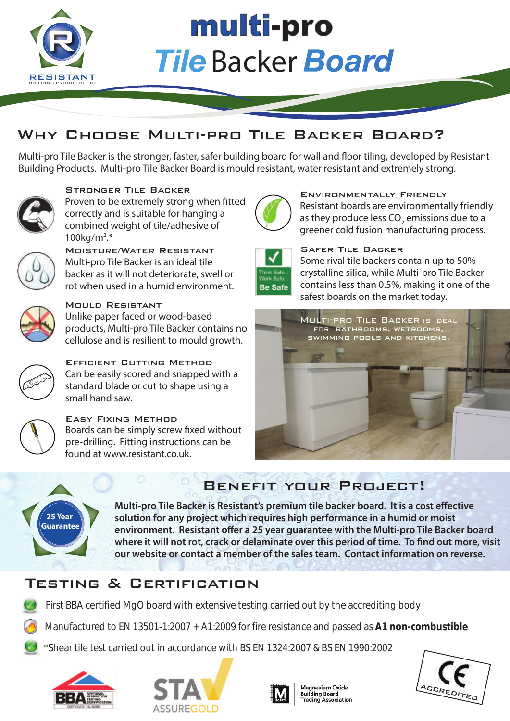

# multi-pro **Tile Backer Board**

## Why Choose Multi-pro Tile Backer Board?

Multi-pro Tile Backer is the stronger, faster, safer building board for wall and floor tiling, developed by Resistant Building Products. Multi-pro Tile Backer Board is mould resistant, water resistant and extremely strong.



Stronger Tile Backer Proven to be extremely strong when fitted correctly and is suitable for hanging a combined weight of tile/adhesive of 100kg/m2 .\*



Moisture/Water Resistant Multi-pro Tile Backer is an ideal tile backer as it will not deteriorate, swell or rot when used in a humid environment.



#### Mould Resistant Unlike paper faced or wood-based

products, Multi-pro Tile Backer contains no cellulose and is resilient to mould growth.



Efficient Cutting Method Can be easily scored and snapped with a standard blade or cut to shape using a small hand saw.



Easy Fixing Method Boards can be simply screw fixed without pre-drilling. Fitting instructions can be found at www.resistant.co.uk.



Environmentally Friendly Resistant boards are environmentally friendly as they produce less CO<sub>2</sub> emissions due to a greener cold fusion manufacturing process.



#### Safer Tile Backer

Some rival tile backers contain up to 50% crystalline silica, while Multi-pro Tile Backer contains less than 0.5%, making it one of the safest boards on the market today.



# Benefit your Project!



**Multi-pro Tile Backer is Resistant's premium tile backer board. It is a cost effective solution for any project which requires high performance in a humid or moist**  environment. Resistant offer a 25 year quarantee with the Multi-pro Tile Backer board where it will not rot, crack or delaminate over this period of time. To find out more, visit **our website or contact a member of the sales team. Contact information on reverse.**

## Testing & Certification

- First BBA certified MgO board with extensive testing carried out by the accrediting body
- Manufactured to EN 13501-1:2007 + A1:2009 for fire resistance and passed as **A1 non-combustible**
- \*Shear tile test carried out in accordance with BS EN 1324:2007 & BS EN 1990:2002







Magnesium Oxide **Building Board Trading Association**